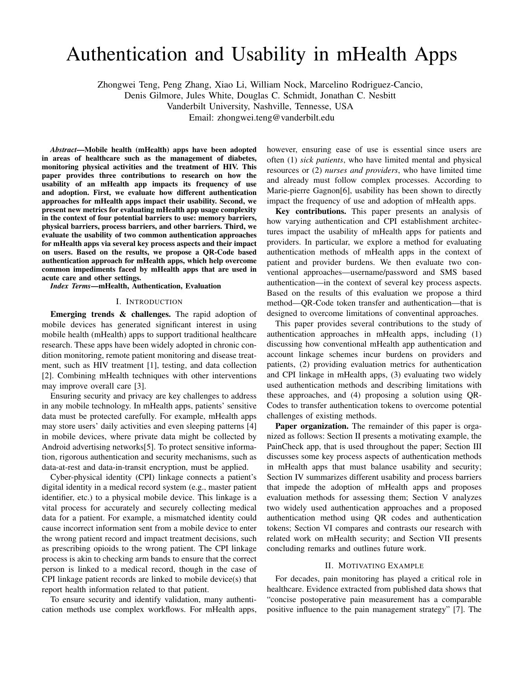# Authentication and Usability in mHealth Apps

Zhongwei Teng, Peng Zhang, Xiao Li, William Nock, Marcelino Rodriguez-Cancio,

Denis Gilmore, Jules White, Douglas C. Schmidt, Jonathan C. Nesbitt

Vanderbilt University, Nashville, Tennesse, USA

Email: zhongwei.teng@vanderbilt.edu

*Abstract*—Mobile health (mHealth) apps have been adopted in areas of healthcare such as the management of diabetes, monitoring physical activities and the treatment of HIV. This paper provides three contributions to research on how the usability of an mHealth app impacts its frequency of use and adoption. First, we evaluate how different authentication approaches for mHealth apps impact their usability. Second, we present new metrics for evaluating mHealth app usage complexity in the context of four potential barriers to use: memory barriers, physical barriers, process barriers, and other barriers. Third, we evaluate the usability of two common authentication approaches for mHealth apps via several key process aspects and their impact on users. Based on the results, we propose a QR-Code based authentication approach for mHealth apps, which help overcome common impediments faced by mHealth apps that are used in acute care and other settings.

*Index Terms*—mHealth, Authentication, Evaluation

#### I. INTRODUCTION

Emerging trends & challenges. The rapid adoption of mobile devices has generated significant interest in using mobile health (mHealth) apps to support traditional healthcare research. These apps have been widely adopted in chronic condition monitoring, remote patient monitoring and disease treatment, such as HIV treatment [1], testing, and data collection [2]. Combining mHealth techniques with other interventions may improve overall care [3].

Ensuring security and privacy are key challenges to address in any mobile technology. In mHealth apps, patients' sensitive data must be protected carefully. For example, mHealth apps may store users' daily activities and even sleeping patterns [4] in mobile devices, where private data might be collected by Android advertising networks[5]. To protect sensitive information, rigorous authentication and security mechanisms, such as data-at-rest and data-in-transit encryption, must be applied.

Cyber-physical identity (CPI) linkage connects a patient's digital identity in a medical record system (e.g., master patient identifier, etc.) to a physical mobile device. This linkage is a vital process for accurately and securely collecting medical data for a patient. For example, a mismatched identity could cause incorrect information sent from a mobile device to enter the wrong patient record and impact treatment decisions, such as prescribing opioids to the wrong patient. The CPI linkage process is akin to checking arm bands to ensure that the correct person is linked to a medical record, though in the case of CPI linkage patient records are linked to mobile device(s) that report health information related to that patient.

To ensure security and identify validation, many authentication methods use complex workflows. For mHealth apps, however, ensuring ease of use is essential since users are often (1) *sick patients*, who have limited mental and physical resources or (2) *nurses and providers*, who have limited time and already must follow complex processes. According to Marie-pierre Gagnon[6], usability has been shown to directly impact the frequency of use and adoption of mHealth apps.

Key contributions. This paper presents an analysis of how varying authentication and CPI establishment architectures impact the usability of mHealth apps for patients and providers. In particular, we explore a method for evaluating authentication methods of mHealth apps in the context of patient and provider burdens. We then evaluate two conventional approaches—username/password and SMS based authentication—in the context of several key process aspects. Based on the results of this evaluation we propose a third method—QR-Code token transfer and authentication—that is designed to overcome limitations of conventinal approaches.

This paper provides several contributions to the study of authentication approaches in mHealth apps, including (1) discussing how conventional mHealth app authentication and account linkage schemes incur burdens on providers and patients, (2) providing evaluation metrics for authentication and CPI linkage in mHealth apps, (3) evaluating two widely used authentication methods and describing limitations with these approaches, and (4) proposing a solution using QR-Codes to transfer authentication tokens to overcome potential challenges of existing methods.

Paper organization. The remainder of this paper is organized as follows: Section II presents a motivating example, the PainCheck app, that is used throughout the paper; Section III discusses some key process aspects of authentication methods in mHealth apps that must balance usability and security; Section IV summarizes different usability and process barriers that impede the adoption of mHealth apps and proposes evaluation methods for assessing them; Section V analyzes two widely used authentication approaches and a proposed authentication method using QR codes and authentication tokens; Section VI compares and contrasts our research with related work on mHealth security; and Section VII presents concluding remarks and outlines future work.

#### II. MOTIVATING EXAMPLE

For decades, pain monitoring has played a critical role in healthcare. Evidence extracted from published data shows that "concise postoperative pain measurement has a comparable positive influence to the pain management strategy" [7]. The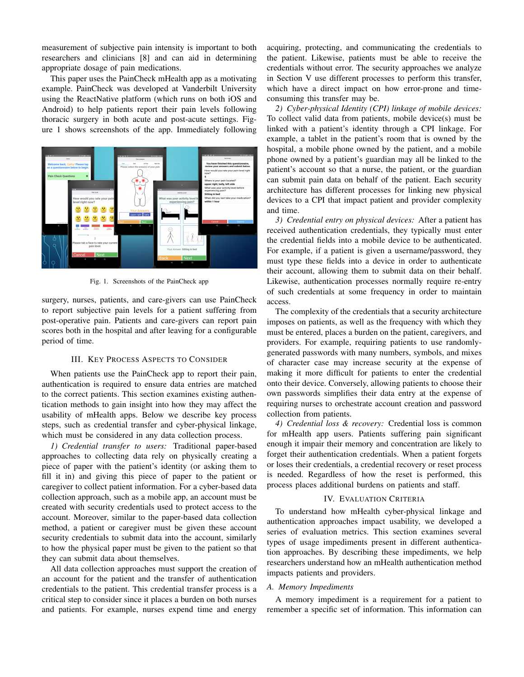measurement of subjective pain intensity is important to both researchers and clinicians [8] and can aid in determining appropriate dosage of pain medications.

This paper uses the PainCheck mHealth app as a motivating example. PainCheck was developed at Vanderbilt University using the ReactNative platform (which runs on both iOS and Android) to help patients report their pain levels following thoracic surgery in both acute and post-acute settings. Figure 1 shows screenshots of the app. Immediately following



Fig. 1. Screenshots of the PainCheck app

surgery, nurses, patients, and care-givers can use PainCheck to report subjective pain levels for a patient suffering from post-operative pain. Patients and care-givers can report pain scores both in the hospital and after leaving for a configurable period of time.

### III. KEY PROCESS ASPECTS TO CONSIDER

When patients use the PainCheck app to report their pain, authentication is required to ensure data entries are matched to the correct patients. This section examines existing authentication methods to gain insight into how they may affect the usability of mHealth apps. Below we describe key process steps, such as credential transfer and cyber-physical linkage, which must be considered in any data collection process.

*1) Credential transfer to users:* Traditional paper-based approaches to collecting data rely on physically creating a piece of paper with the patient's identity (or asking them to fill it in) and giving this piece of paper to the patient or caregiver to collect patient information. For a cyber-based data collection approach, such as a mobile app, an account must be created with security credentials used to protect access to the account. Moreover, similar to the paper-based data collection method, a patient or caregiver must be given these account security credentials to submit data into the account, similarly to how the physical paper must be given to the patient so that they can submit data about themselves.

All data collection approaches must support the creation of an account for the patient and the transfer of authentication credentials to the patient. This credential transfer process is a critical step to consider since it places a burden on both nurses and patients. For example, nurses expend time and energy acquiring, protecting, and communicating the credentials to the patient. Likewise, patients must be able to receive the credentials without error. The security approaches we analyze in Section V use different processes to perform this transfer, which have a direct impact on how error-prone and timeconsuming this transfer may be.

*2) Cyber-physical Identity (CPI) linkage of mobile devices:* To collect valid data from patients, mobile device(s) must be linked with a patient's identity through a CPI linkage. For example, a tablet in the patient's room that is owned by the hospital, a mobile phone owned by the patient, and a mobile phone owned by a patient's guardian may all be linked to the patient's account so that a nurse, the patient, or the guardian can submit pain data on behalf of the patient. Each security architecture has different processes for linking new physical devices to a CPI that impact patient and provider complexity and time.

*3) Credential entry on physical devices:* After a patient has received authentication credentials, they typically must enter the credential fields into a mobile device to be authenticated. For example, if a patient is given a username/password, they must type these fields into a device in order to authenticate their account, allowing them to submit data on their behalf. Likewise, authentication processes normally require re-entry of such credentials at some frequency in order to maintain access.

The complexity of the credentials that a security architecture imposes on patients, as well as the frequency with which they must be entered, places a burden on the patient, caregivers, and providers. For example, requiring patients to use randomlygenerated passwords with many numbers, symbols, and mixes of character case may increase security at the expense of making it more difficult for patients to enter the credential onto their device. Conversely, allowing patients to choose their own passwords simplifies their data entry at the expense of requiring nurses to orchestrate account creation and password collection from patients.

*4) Credential loss & recovery:* Credential loss is common for mHealth app users. Patients suffering pain significant enough it impair their memory and concentration are likely to forget their authentication credentials. When a patient forgets or loses their credentials, a credential recovery or reset process is needed. Regardless of how the reset is performed, this process places additional burdens on patients and staff.

# IV. EVALUATION CRITERIA

To understand how mHealth cyber-physical linkage and authentication approaches impact usability, we developed a series of evaluation metrics. This section examines several types of usage impediments present in different authentication approaches. By describing these impediments, we help researchers understand how an mHealth authentication method impacts patients and providers.

## *A. Memory Impediments*

A memory impediment is a requirement for a patient to remember a specific set of information. This information can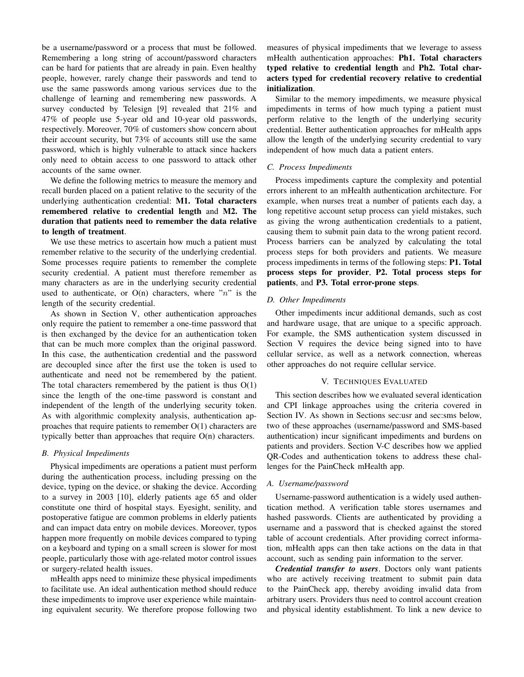be a username/password or a process that must be followed. Remembering a long string of account/password characters can be hard for patients that are already in pain. Even healthy people, however, rarely change their passwords and tend to use the same passwords among various services due to the challenge of learning and remembering new passwords. A survey conducted by Telesign [9] revealed that 21% and 47% of people use 5-year old and 10-year old passwords, respectively. Moreover, 70% of customers show concern about their account security, but 73% of accounts still use the same password, which is highly vulnerable to attack since hackers only need to obtain access to one password to attack other accounts of the same owner.

We define the following metrics to measure the memory and recall burden placed on a patient relative to the security of the underlying authentication credential: M1. Total characters remembered relative to credential length and M2. The duration that patients need to remember the data relative to length of treatment.

We use these metrics to ascertain how much a patient must remember relative to the security of the underlying credential. Some processes require patients to remember the complete security credential. A patient must therefore remember as many characters as are in the underlying security credential used to authenticate, or  $O(n)$  characters, where "n" is the length of the security credential.

As shown in Section V, other authentication approaches only require the patient to remember a one-time password that is then exchanged by the device for an authentication token that can be much more complex than the original password. In this case, the authentication credential and the password are decoupled since after the first use the token is used to authenticate and need not be remembered by the patient. The total characters remembered by the patient is thus  $O(1)$ since the length of the one-time password is constant and independent of the length of the underlying security token. As with algorithmic complexity analysis, authentication approaches that require patients to remember  $O(1)$  characters are typically better than approaches that require O(n) characters.

#### *B. Physical Impediments*

Physical impediments are operations a patient must perform during the authentication process, including pressing on the device, typing on the device, or shaking the device. According to a survey in 2003 [10], elderly patients age 65 and older constitute one third of hospital stays. Eyesight, senility, and postoperative fatigue are common problems in elderly patients and can impact data entry on mobile devices. Moreover, typos happen more frequently on mobile devices compared to typing on a keyboard and typing on a small screen is slower for most people, particularly those with age-related motor control issues or surgery-related health issues.

mHealth apps need to minimize these physical impediments to facilitate use. An ideal authentication method should reduce these impediments to improve user experience while maintaining equivalent security. We therefore propose following two measures of physical impediments that we leverage to assess mHealth authentication approaches: Ph1. Total characters typed relative to credential length and Ph2. Total characters typed for credential recovery relative to credential initialization.

Similar to the memory impediments, we measure physical impediments in terms of how much typing a patient must perform relative to the length of the underlying security credential. Better authentication approaches for mHealth apps allow the length of the underlying security credential to vary independent of how much data a patient enters.

## *C. Process Impediments*

Process impediments capture the complexity and potential errors inherent to an mHealth authentication architecture. For example, when nurses treat a number of patients each day, a long repetitive account setup process can yield mistakes, such as giving the wrong authentication credentials to a patient, causing them to submit pain data to the wrong patient record. Process barriers can be analyzed by calculating the total process steps for both providers and patients. We measure process impediments in terms of the following steps: P1. Total process steps for provider, P2. Total process steps for patients, and P3. Total error-prone steps.

## *D. Other Impediments*

Other impediments incur additional demands, such as cost and hardware usage, that are unique to a specific approach. For example, the SMS authentication system discussed in Section V requires the device being signed into to have cellular service, as well as a network connection, whereas other approaches do not require cellular service.

## V. TECHNIQUES EVALUATED

This section describes how we evaluated several identication and CPI linkage approaches using the criteria covered in Section IV. As shown in Sections sec:usr and sec:sms below, two of these approaches (username/password and SMS-based authentication) incur significant impediments and burdens on patients and providers. Section V-C describes how we applied QR-Codes and authentication tokens to address these challenges for the PainCheck mHealth app.

### *A. Username/password*

Username-password authentication is a widely used authentication method. A verification table stores usernames and hashed passwords. Clients are authenticated by providing a username and a password that is checked against the stored table of account credentials. After providing correct information, mHealth apps can then take actions on the data in that account, such as sending pain information to the server.

*Credential transfer to users*. Doctors only want patients who are actively receiving treatment to submit pain data to the PainCheck app, thereby avoiding invalid data from arbitrary users. Providers thus need to control account creation and physical identity establishment. To link a new device to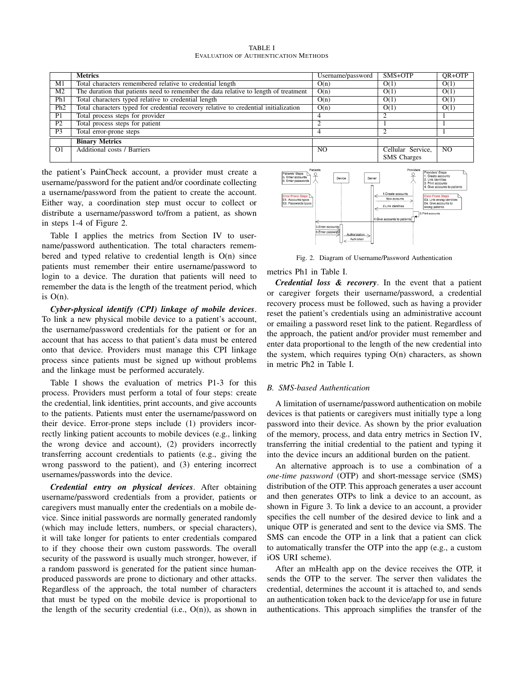TABLE I EVALUATION OF AUTHENTICATION METHODS

|                | <b>Metrics</b>                                                                       | Username/password | SMS+OTP                                 | OR+OTP         |
|----------------|--------------------------------------------------------------------------------------|-------------------|-----------------------------------------|----------------|
| M1             | Total characters remembered relative to credential length                            | O(n)              | O(1)                                    | O(1)           |
| M <sub>2</sub> | The duration that patients need to remember the data relative to length of treatment | O(n)              | O(1)                                    | O(1)           |
| Ph1            | Total characters typed relative to credential length                                 | O(n)              | O(1)                                    | O(1)           |
| Ph2            | Total characters typed for credential recovery relative to credential initialization | O(n)              | O(1)                                    | O(1)           |
| P <sub>1</sub> | Total process steps for provider                                                     |                   |                                         |                |
| P <sub>2</sub> | Total process steps for patient                                                      |                   |                                         |                |
| P <sub>3</sub> | Total error-prone steps                                                              |                   | ◠                                       |                |
|                | <b>Binary Metrics</b>                                                                |                   |                                         |                |
| $\Omega$       | Additional costs / Barriers                                                          | N <sub>O</sub>    | Cellular Service,<br><b>SMS</b> Charges | N <sub>O</sub> |

the patient's PainCheck account, a provider must create a username/password for the patient and/or coordinate collecting a username/password from the patient to create the account. Either way, a coordination step must occur to collect or distribute a username/password to/from a patient, as shown in steps 1-4 of Figure 2.

Table I applies the metrics from Section IV to username/password authentication. The total characters remembered and typed relative to credential length is O(n) since patients must remember their entire username/password to login to a device. The duration that patients will need to remember the data is the length of the treatment period, which is  $O(n)$ .

*Cyber-physical identify (CPI) linkage of mobile devices*. To link a new physical mobile device to a patient's account, the username/password credentials for the patient or for an account that has access to that patient's data must be entered onto that device. Providers must manage this CPI linkage process since patients must be signed up without problems and the linkage must be performed accurately.

Table I shows the evaluation of metrics P1-3 for this process. Providers must perform a total of four steps: create the credential, link identities, print accounts, and give accounts to the patients. Patients must enter the username/password on their device. Error-prone steps include (1) providers incorrectly linking patient accounts to mobile devices (e.g., linking the wrong device and account), (2) providers incorrectly transferring account credentials to patients (e.g., giving the wrong password to the patient), and (3) entering incorrect usernames/passwords into the device.

*Credential entry on physical devices*. After obtaining username/password credentials from a provider, patients or caregivers must manually enter the credentials on a mobile device. Since initial passwords are normally generated randomly (which may include letters, numbers, or special characters), it will take longer for patients to enter credentials compared to if they choose their own custom passwords. The overall security of the password is usually much stronger, however, if a random password is generated for the patient since humanproduced passwords are prone to dictionary and other attacks. Regardless of the approach, the total number of characters that must be typed on the mobile device is proportional to the length of the security credential (i.e.,  $O(n)$ ), as shown in



Fig. 2. Diagram of Username/Password Authentication

metrics Ph1 in Table I.

*Credential loss & recovery*. In the event that a patient or caregiver forgets their username/password, a credential recovery process must be followed, such as having a provider reset the patient's credentials using an administrative account or emailing a password reset link to the patient. Regardless of the approach, the patient and/or provider must remember and enter data proportional to the length of the new credential into the system, which requires typing  $O(n)$  characters, as shown in metric Ph2 in Table I.

# *B. SMS-based Authentication*

A limitation of username/password authentication on mobile devices is that patients or caregivers must initially type a long password into their device. As shown by the prior evaluation of the memory, process, and data entry metrics in Section IV, transferring the initial credential to the patient and typing it into the device incurs an additional burden on the patient.

An alternative approach is to use a combination of a *one-time password* (OTP) and short-message service (SMS) distribution of the OTP. This approach generates a user account and then generates OTPs to link a device to an account, as shown in Figure 3. To link a device to an account, a provider specifies the cell number of the desired device to link and a unique OTP is generated and sent to the device via SMS. The SMS can encode the OTP in a link that a patient can click to automatically transfer the OTP into the app (e.g., a custom iOS URI scheme).

After an mHealth app on the device receives the OTP, it sends the OTP to the server. The server then validates the credential, determines the account it is attached to, and sends an authentication token back to the device/app for use in future authentications. This approach simplifies the transfer of the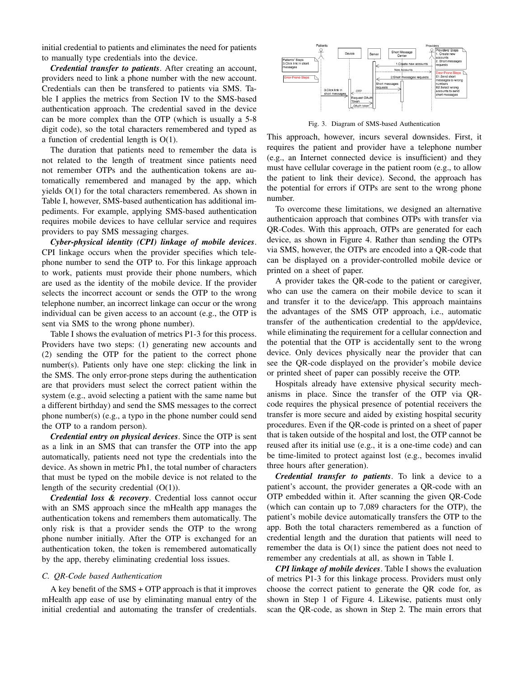initial credential to patients and eliminates the need for patients to manually type credentials into the device.

*Credential transfer to patients*. After creating an account, providers need to link a phone number with the new account. Credentials can then be transfered to patients via SMS. Table I applies the metrics from Section IV to the SMS-based authentication approach. The credential saved in the device can be more complex than the OTP (which is usually a 5-8 digit code), so the total characters remembered and typed as a function of credential length is O(1).

The duration that patients need to remember the data is not related to the length of treatment since patients need not remember OTPs and the authentication tokens are automatically remembered and managed by the app, which yields O(1) for the total characters remembered. As shown in Table I, however, SMS-based authentication has additional impediments. For example, applying SMS-based authentication requires mobile devices to have cellular service and requires providers to pay SMS messaging charges.

*Cyber-physical identity (CPI) linkage of mobile devices*. CPI linkage occurs when the provider specifies which telephone number to send the OTP to. For this linkage approach to work, patients must provide their phone numbers, which are used as the identity of the mobile device. If the provider selects the incorrect account or sends the OTP to the wrong telephone number, an incorrect linkage can occur or the wrong individual can be given access to an account (e.g., the OTP is sent via SMS to the wrong phone number).

Table I shows the evaluation of metrics P1-3 for this process. Providers have two steps: (1) generating new accounts and (2) sending the OTP for the patient to the correct phone number(s). Patients only have one step: clicking the link in the SMS. The only error-prone steps during the authentication are that providers must select the correct patient within the system (e.g., avoid selecting a patient with the same name but a different birthday) and send the SMS messages to the correct phone number(s) (e.g., a typo in the phone number could send the OTP to a random person).

*Credential entry on physical devices*. Since the OTP is sent as a link in an SMS that can transfer the OTP into the app automatically, patients need not type the credentials into the device. As shown in metric Ph1, the total number of characters that must be typed on the mobile device is not related to the length of the security credential  $(O(1))$ .

*Credential loss & recovery*. Credential loss cannot occur with an SMS approach since the mHealth app manages the authentication tokens and remembers them automatically. The only risk is that a provider sends the OTP to the wrong phone number initially. After the OTP is exchanged for an authentication token, the token is remembered automatically by the app, thereby eliminating credential loss issues.

#### *C. QR-Code based Authentication*

A key benefit of the SMS + OTP approach is that it improves mHealth app ease of use by eliminating manual entry of the initial credential and automating the transfer of credentials.



Fig. 3. Diagram of SMS-based Authentication

This approach, however, incurs several downsides. First, it requires the patient and provider have a telephone number (e.g., an Internet connected device is insufficient) and they must have cellular coverage in the patient room (e.g., to allow the patient to link their device). Second, the approach has the potential for errors if OTPs are sent to the wrong phone number.

To overcome these limitations, we designed an alternative authenticaion approach that combines OTPs with transfer via QR-Codes. With this approach, OTPs are generated for each device, as shown in Figure 4. Rather than sending the OTPs via SMS, however, the OTPs are encoded into a QR-code that can be displayed on a provider-controlled mobile device or printed on a sheet of paper.

A provider takes the QR-code to the patient or caregiver, who can use the camera on their mobile device to scan it and transfer it to the device/app. This approach maintains the advantages of the SMS OTP approach, i.e., automatic transfer of the authentication credential to the app/device, while eliminating the requirement for a cellular connection and the potential that the OTP is accidentally sent to the wrong device. Only devices physically near the provider that can see the QR-code displayed on the provider's mobile device or printed sheet of paper can possibly receive the OTP.

Hospitals already have extensive physical security mechanisms in place. Since the transfer of the OTP via QRcode requires the physical presence of potential receivers the transfer is more secure and aided by existing hospital security procedures. Even if the QR-code is printed on a sheet of paper that is taken outside of the hospital and lost, the OTP cannot be reused after its initial use (e.g., it is a one-time code) and can be time-limited to protect against lost (e.g., becomes invalid three hours after generation).

*Credential transfer to patients*. To link a device to a patient's account, the provider generates a QR-code with an OTP embedded within it. After scanning the given QR-Code (which can contain up to 7,089 characters for the OTP), the patient's mobile device automatically transfers the OTP to the app. Both the total characters remembered as a function of credential length and the duration that patients will need to remember the data is  $O(1)$  since the patient does not need to remember any credentials at all, as shown in Table I.

*CPI linkage of mobile devices*. Table I shows the evaluation of metrics P1-3 for this linkage process. Providers must only choose the correct patient to generate the QR code for, as shown in Step 1 of Figure 4. Likewise, patients must only scan the QR-code, as shown in Step 2. The main errors that